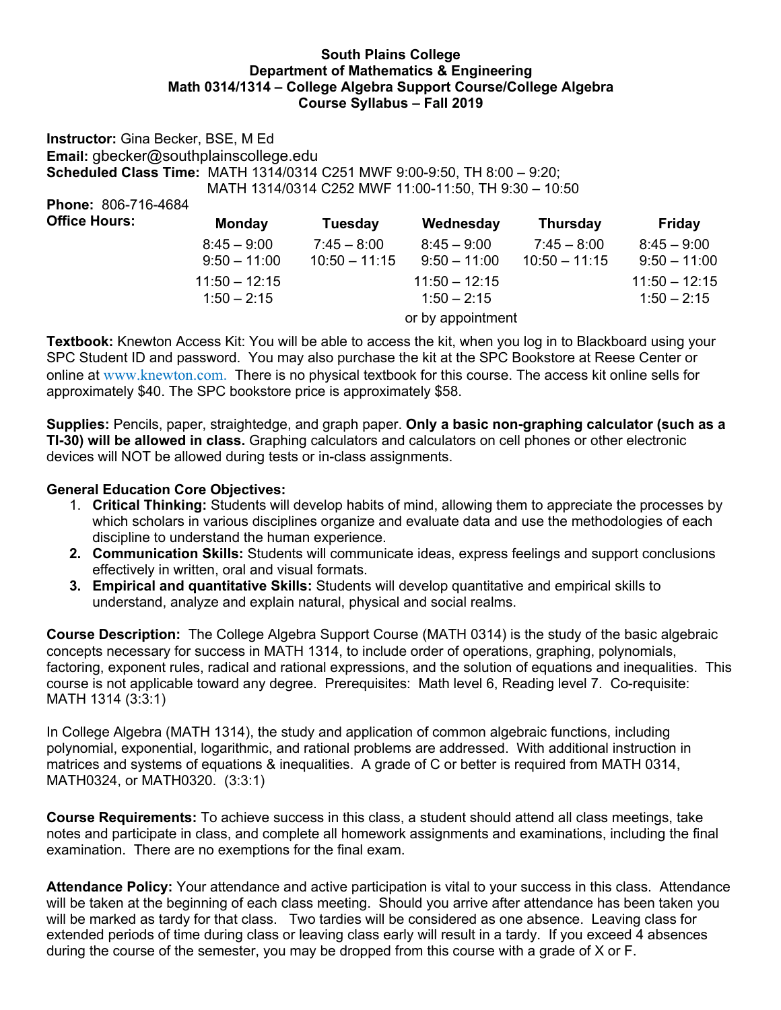## **South Plains College Department of Mathematics & Engineering Math 0314/1314 – College Algebra Support Course/College Algebra Course Syllabus – Fall 2019**

**Instructor:** Gina Becker, BSE, M Ed **Email:** gbecker@southplainscollege.edu **Scheduled Class Time:** MATH 1314/0314 C251 MWF 9:00-9:50, TH 8:00 – 9:20; MATH 1314/0314 C252 MWF 11:00-11:50, TH 9:30 – 10:50 **Phone:** 806-716-4684 **Office Hours: Monday Tuesday Wednesday Thursday Friday**

| $8:45 - 9:00$   | $7:45 - 8:00$   | $8:45 - 9:00$     | $7:45 - 8:00$   | $8:45 - 9:00$   |
|-----------------|-----------------|-------------------|-----------------|-----------------|
| $9:50 - 11:00$  | $10:50 - 11:15$ | $9:50 - 11:00$    | $10:50 - 11:15$ | $9:50 - 11:00$  |
| $11:50 - 12:15$ |                 | $11:50 - 12:15$   |                 | $11:50 - 12:15$ |
| $1:50 - 2:15$   |                 | $1:50 - 2:15$     |                 | $1:50 - 2:15$   |
|                 |                 | or by appointment |                 |                 |

**Textbook:** Knewton Access Kit: You will be able to access the kit, when you log in to Blackboard using your SPC Student ID and password. You may also purchase the kit at the SPC Bookstore at Reese Center or online at www.knewton.com. There is no physical textbook for this course. The access kit online sells for approximately \$40. The SPC bookstore price is approximately \$58.

**Supplies:** Pencils, paper, straightedge, and graph paper. **Only a basic non-graphing calculator (such as a TI-30) will be allowed in class.** Graphing calculators and calculators on cell phones or other electronic devices will NOT be allowed during tests or in-class assignments.

# **General Education Core Objectives:**

- 1. **Critical Thinking:** Students will develop habits of mind, allowing them to appreciate the processes by which scholars in various disciplines organize and evaluate data and use the methodologies of each discipline to understand the human experience.
- **2. Communication Skills:** Students will communicate ideas, express feelings and support conclusions effectively in written, oral and visual formats.
- **3. Empirical and quantitative Skills:** Students will develop quantitative and empirical skills to understand, analyze and explain natural, physical and social realms.

**Course Description:** The College Algebra Support Course (MATH 0314) is the study of the basic algebraic concepts necessary for success in MATH 1314, to include order of operations, graphing, polynomials, factoring, exponent rules, radical and rational expressions, and the solution of equations and inequalities. This course is not applicable toward any degree. Prerequisites: Math level 6, Reading level 7. Co-requisite: MATH 1314 (3:3:1)

In College Algebra (MATH 1314), the study and application of common algebraic functions, including polynomial, exponential, logarithmic, and rational problems are addressed. With additional instruction in matrices and systems of equations & inequalities. A grade of C or better is required from MATH 0314, MATH0324, or MATH0320. (3:3:1)

**Course Requirements:** To achieve success in this class, a student should attend all class meetings, take notes and participate in class, and complete all homework assignments and examinations, including the final examination. There are no exemptions for the final exam.

**Attendance Policy:** Your attendance and active participation is vital to your success in this class. Attendance will be taken at the beginning of each class meeting. Should you arrive after attendance has been taken you will be marked as tardy for that class. Two tardies will be considered as one absence. Leaving class for extended periods of time during class or leaving class early will result in a tardy. If you exceed 4 absences during the course of the semester, you may be dropped from this course with a grade of X or F.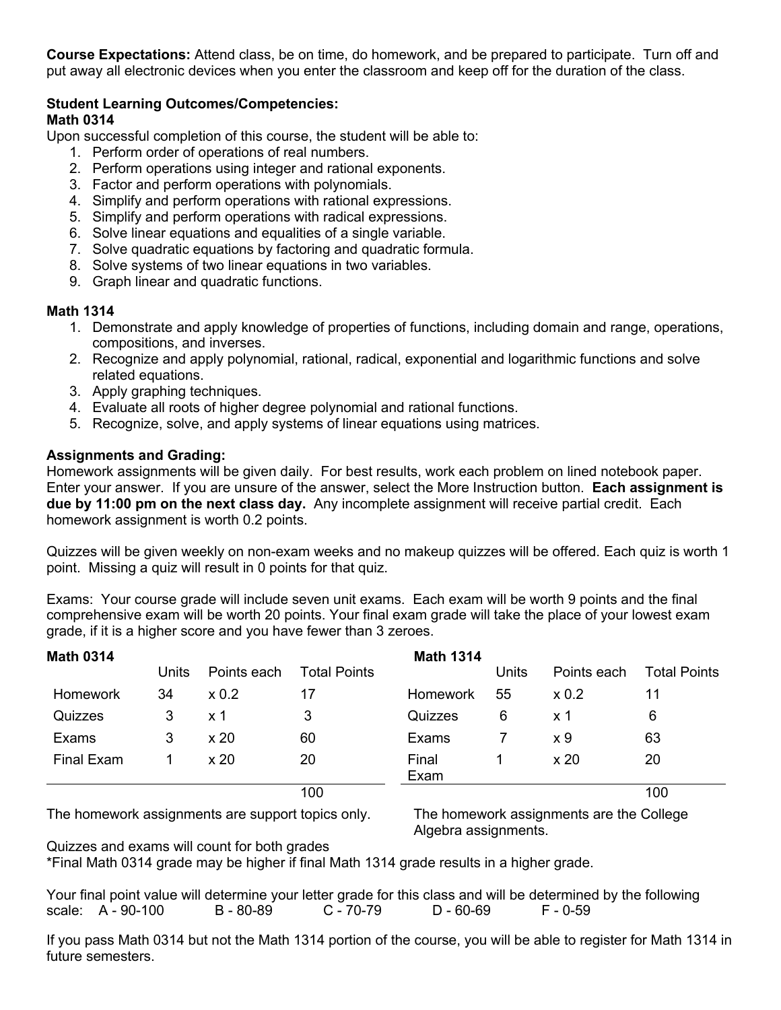**Course Expectations:** Attend class, be on time, do homework, and be prepared to participate. Turn off and put away all electronic devices when you enter the classroom and keep off for the duration of the class.

#### **Student Learning Outcomes/Competencies: Math 0314**

Upon successful completion of this course, the student will be able to:

- 1. Perform order of operations of real numbers.
- 2. Perform operations using integer and rational exponents.
- 3. Factor and perform operations with polynomials.
- 4. Simplify and perform operations with rational expressions.
- 5. Simplify and perform operations with radical expressions.
- 6. Solve linear equations and equalities of a single variable.
- 7. Solve quadratic equations by factoring and quadratic formula.
- 8. Solve systems of two linear equations in two variables.
- 9. Graph linear and quadratic functions.

# **Math 1314**

- 1. Demonstrate and apply knowledge of properties of functions, including domain and range, operations, compositions, and inverses.
- 2. Recognize and apply polynomial, rational, radical, exponential and logarithmic functions and solve related equations.
- 3. Apply graphing techniques.
- 4. Evaluate all roots of higher degree polynomial and rational functions.
- 5. Recognize, solve, and apply systems of linear equations using matrices.

## **Assignments and Grading:**

Homework assignments will be given daily. For best results, work each problem on lined notebook paper. Enter your answer. If you are unsure of the answer, select the More Instruction button. **Each assignment is due by 11:00 pm on the next class day.** Any incomplete assignment will receive partial credit. Each homework assignment is worth 0.2 points.

Quizzes will be given weekly on non-exam weeks and no makeup quizzes will be offered. Each quiz is worth 1 point. Missing a quiz will result in 0 points for that quiz.

Exams: Your course grade will include seven unit exams. Each exam will be worth 9 points and the final comprehensive exam will be worth 20 points. Your final exam grade will take the place of your lowest exam grade, if it is a higher score and you have fewer than 3 zeroes.

| <b>Math 0314</b> |       |              |                     | <b>Math 1314</b> |       |                 |                     |
|------------------|-------|--------------|---------------------|------------------|-------|-----------------|---------------------|
|                  | Units | Points each  | <b>Total Points</b> |                  | Units | Points each     | <b>Total Points</b> |
| Homework         | 34    | $\times 0.2$ | 17                  | <b>Homework</b>  | 55    | $\times 0.2$    | 11                  |
| Quizzes          | 3     | $\times$ 1   | 3                   | Quizzes          | 6     | x 1             | 6                   |
| Exams            | 3     | x 20         | 60                  | Exams            |       | x 9             | 63                  |
| Final Exam       |       | $\times 20$  | 20                  | Final<br>Exam    |       | x <sub>20</sub> | 20                  |
|                  |       |              | 100                 |                  |       |                 | 100                 |

The homework assignments are support topics only. The homework assignments are the College

Algebra assignments.

Quizzes and exams will count for both grades

\*Final Math 0314 grade may be higher if final Math 1314 grade results in a higher grade.

Your final point value will determine your letter grade for this class and will be determined by the following<br>scale: A - 90-100 B - 80-89 C - 70-79 D - 60-69 F - 0-59 scale: A - 90-100 B - 80-89 C - 70-79 D - 60-69 F - 0-59

If you pass Math 0314 but not the Math 1314 portion of the course, you will be able to register for Math 1314 in future semesters.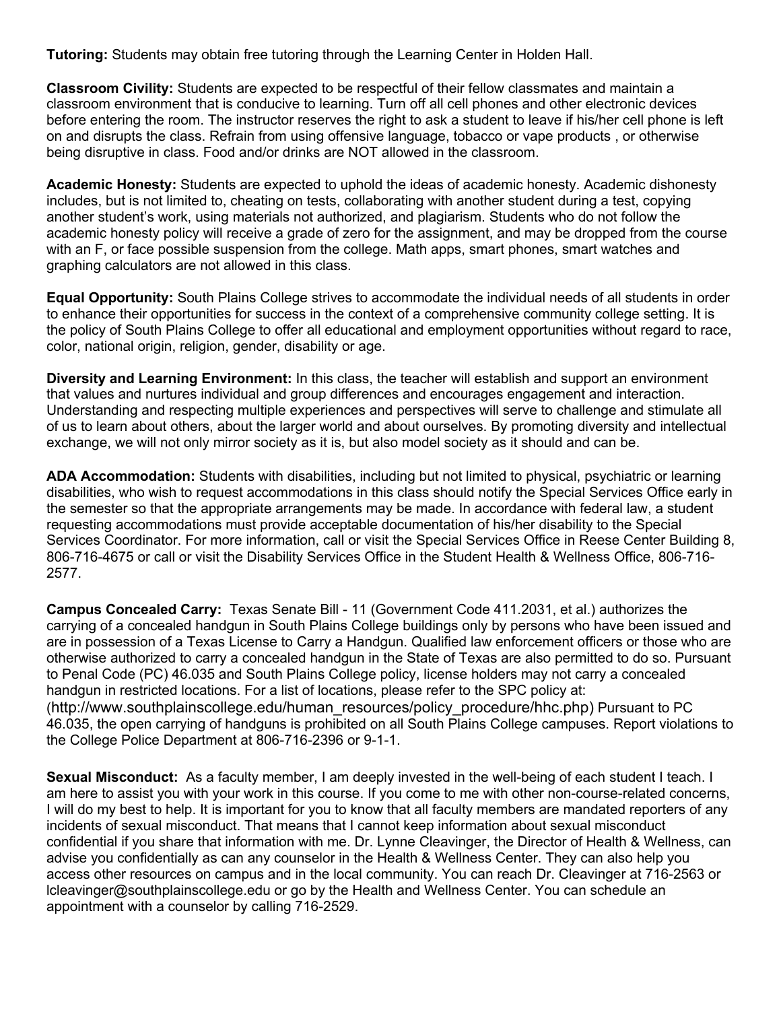**Tutoring:** Students may obtain free tutoring through the Learning Center in Holden Hall.

**Classroom Civility:** Students are expected to be respectful of their fellow classmates and maintain a classroom environment that is conducive to learning. Turn off all cell phones and other electronic devices before entering the room. The instructor reserves the right to ask a student to leave if his/her cell phone is left on and disrupts the class. Refrain from using offensive language, tobacco or vape products , or otherwise being disruptive in class. Food and/or drinks are NOT allowed in the classroom.

**Academic Honesty:** Students are expected to uphold the ideas of academic honesty. Academic dishonesty includes, but is not limited to, cheating on tests, collaborating with another student during a test, copying another student's work, using materials not authorized, and plagiarism. Students who do not follow the academic honesty policy will receive a grade of zero for the assignment, and may be dropped from the course with an F, or face possible suspension from the college. Math apps, smart phones, smart watches and graphing calculators are not allowed in this class.

**Equal Opportunity:** South Plains College strives to accommodate the individual needs of all students in order to enhance their opportunities for success in the context of a comprehensive community college setting. It is the policy of South Plains College to offer all educational and employment opportunities without regard to race, color, national origin, religion, gender, disability or age.

**Diversity and Learning Environment:** In this class, the teacher will establish and support an environment that values and nurtures individual and group differences and encourages engagement and interaction. Understanding and respecting multiple experiences and perspectives will serve to challenge and stimulate all of us to learn about others, about the larger world and about ourselves. By promoting diversity and intellectual exchange, we will not only mirror society as it is, but also model society as it should and can be.

**ADA Accommodation:** Students with disabilities, including but not limited to physical, psychiatric or learning disabilities, who wish to request accommodations in this class should notify the Special Services Office early in the semester so that the appropriate arrangements may be made. In accordance with federal law, a student requesting accommodations must provide acceptable documentation of his/her disability to the Special Services Coordinator. For more information, call or visit the Special Services Office in Reese Center Building 8, 806-716-4675 or call or visit the Disability Services Office in the Student Health & Wellness Office, 806-716- 2577.

**Campus Concealed Carry:** Texas Senate Bill - 11 (Government Code 411.2031, et al.) authorizes the carrying of a concealed handgun in South Plains College buildings only by persons who have been issued and are in possession of a Texas License to Carry a Handgun. Qualified law enforcement officers or those who are otherwise authorized to carry a concealed handgun in the State of Texas are also permitted to do so. Pursuant to Penal Code (PC) 46.035 and South Plains College policy, license holders may not carry a concealed handgun in restricted locations. For a list of locations, please refer to the SPC policy at: (http://www.southplainscollege.edu/human\_resources/policy\_procedure/hhc.php) Pursuant to PC 46.035, the open carrying of handguns is prohibited on all South Plains College campuses. Report violations to the College Police Department at 806-716-2396 or 9-1-1.

**Sexual Misconduct:** As a faculty member, I am deeply invested in the well-being of each student I teach. I am here to assist you with your work in this course. If you come to me with other non-course-related concerns, I will do my best to help. It is important for you to know that all faculty members are mandated reporters of any incidents of sexual misconduct. That means that I cannot keep information about sexual misconduct confidential if you share that information with me. Dr. Lynne Cleavinger, the Director of Health & Wellness, can advise you confidentially as can any counselor in the Health & Wellness Center. They can also help you access other resources on campus and in the local community. You can reach Dr. Cleavinger at 716-2563 or lcleavinger@southplainscollege.edu or go by the Health and Wellness Center. You can schedule an appointment with a counselor by calling 716-2529.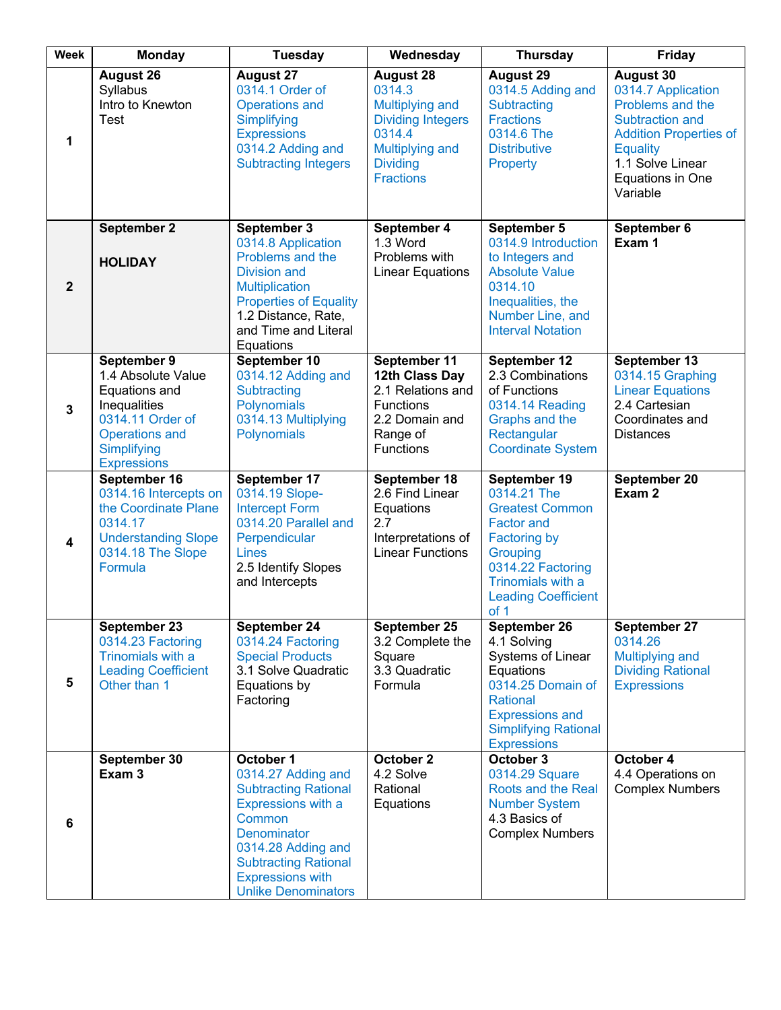| <b>Week</b>             | <b>Monday</b>                                                                                                                                        | <b>Tuesday</b>                                                                                                                                                                                                              | Wednesday                                                                                                                                            | <b>Thursday</b>                                                                                                                                                                                      | Friday                                                                                                                                                                                |
|-------------------------|------------------------------------------------------------------------------------------------------------------------------------------------------|-----------------------------------------------------------------------------------------------------------------------------------------------------------------------------------------------------------------------------|------------------------------------------------------------------------------------------------------------------------------------------------------|------------------------------------------------------------------------------------------------------------------------------------------------------------------------------------------------------|---------------------------------------------------------------------------------------------------------------------------------------------------------------------------------------|
| 1                       | August 26<br>Syllabus<br>Intro to Knewton<br>Test                                                                                                    | <b>August 27</b><br>0314.1 Order of<br><b>Operations and</b><br>Simplifying<br><b>Expressions</b><br>0314.2 Adding and<br><b>Subtracting Integers</b>                                                                       | <b>August 28</b><br>0314.3<br><b>Multiplying and</b><br><b>Dividing Integers</b><br>0314.4<br>Multiplying and<br><b>Dividing</b><br><b>Fractions</b> | August 29<br>0314.5 Adding and<br>Subtracting<br><b>Fractions</b><br>0314.6 The<br><b>Distributive</b><br>Property                                                                                   | <b>August 30</b><br>0314.7 Application<br>Problems and the<br>Subtraction and<br><b>Addition Properties of</b><br><b>Equality</b><br>1.1 Solve Linear<br>Equations in One<br>Variable |
| $\overline{2}$          | September 2<br><b>HOLIDAY</b>                                                                                                                        | September 3<br>0314.8 Application<br>Problems and the<br><b>Division and</b><br><b>Multiplication</b><br><b>Properties of Equality</b><br>1.2 Distance, Rate,<br>and Time and Literal<br>Equations                          | September 4<br>1.3 Word<br>Problems with<br><b>Linear Equations</b>                                                                                  | September 5<br>0314.9 Introduction<br>to Integers and<br><b>Absolute Value</b><br>0314.10<br>Inequalities, the<br>Number Line, and<br><b>Interval Notation</b>                                       | September 6<br>Exam 1                                                                                                                                                                 |
| $\mathbf{3}$            | September 9<br>1.4 Absolute Value<br>Equations and<br>Inequalities<br>0314.11 Order of<br><b>Operations and</b><br>Simplifying<br><b>Expressions</b> | September 10<br>0314.12 Adding and<br>Subtracting<br>Polynomials<br>0314.13 Multiplying<br>Polynomials                                                                                                                      | September 11<br>12th Class Day<br>2.1 Relations and<br><b>Functions</b><br>2.2 Domain and<br>Range of<br><b>Functions</b>                            | September 12<br>2.3 Combinations<br>of Functions<br>0314.14 Reading<br>Graphs and the<br>Rectangular<br><b>Coordinate System</b>                                                                     | September 13<br>0314.15 Graphing<br><b>Linear Equations</b><br>2.4 Cartesian<br>Coordinates and<br><b>Distances</b>                                                                   |
| $\overline{\mathbf{4}}$ | September 16<br>0314.16 Intercepts on<br>the Coordinate Plane<br>0314.17<br><b>Understanding Slope</b><br>0314.18 The Slope<br>Formula               | September 17<br>0314.19 Slope-<br><b>Intercept Form</b><br>0314.20 Parallel and<br>Perpendicular<br>Lines<br>2.5 Identify Slopes<br>and Intercepts                                                                          | September 18<br>2.6 Find Linear<br>Equations<br>2.7<br>Interpretations of<br><b>Linear Functions</b>                                                 | September 19<br>0314.21 The<br><b>Greatest Common</b><br><b>Factor and</b><br><b>Factoring by</b><br><b>Grouping</b><br>0314.22 Factoring<br>Trinomials with a<br><b>Leading Coefficient</b><br>of 1 | September 20<br>Exam 2                                                                                                                                                                |
| 5                       | September 23<br>0314.23 Factoring<br>Trinomials with a<br><b>Leading Coefficient</b><br>Other than 1                                                 | September 24<br>0314.24 Factoring<br><b>Special Products</b><br>3.1 Solve Quadratic<br>Equations by<br>Factoring                                                                                                            | September 25<br>3.2 Complete the<br>Square<br>3.3 Quadratic<br>Formula                                                                               | September 26<br>4.1 Solving<br>Systems of Linear<br>Equations<br>0314.25 Domain of<br><b>Rational</b><br><b>Expressions and</b><br><b>Simplifying Rational</b><br><b>Expressions</b>                 | September 27<br>0314.26<br>Multiplying and<br><b>Dividing Rational</b><br><b>Expressions</b>                                                                                          |
| $6\phantom{1}$          | September 30<br>Exam <sub>3</sub>                                                                                                                    | October 1<br>0314.27 Adding and<br><b>Subtracting Rational</b><br>Expressions with a<br>Common<br>Denominator<br>0314.28 Adding and<br><b>Subtracting Rational</b><br><b>Expressions with</b><br><b>Unlike Denominators</b> | October 2<br>4.2 Solve<br>Rational<br>Equations                                                                                                      | October 3<br>0314.29 Square<br><b>Roots and the Real</b><br><b>Number System</b><br>4.3 Basics of<br><b>Complex Numbers</b>                                                                          | October 4<br>4.4 Operations on<br><b>Complex Numbers</b>                                                                                                                              |